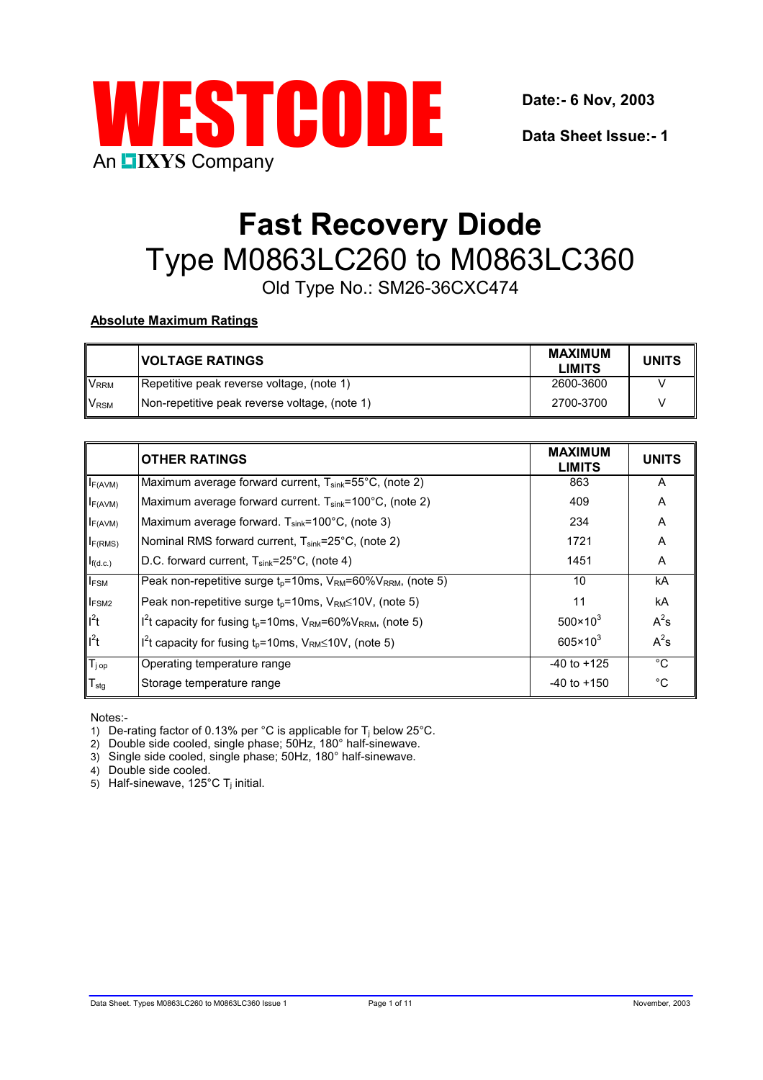

**Date:- 6 Nov, 2003**

**Data Sheet Issue:- 1**

# **Fast Recovery Diode** Type M0863LC260 to M0863LC360

Old Type No.: SM26-36CXC474

# **Absolute Maximum Ratings**

|                        | <b>VOLTAGE RATINGS</b>                        | <b>MAXIMUM</b><br><b>LIMITS</b> | <b>UNITS</b> |
|------------------------|-----------------------------------------------|---------------------------------|--------------|
| <b>V<sub>RRM</sub></b> | Repetitive peak reverse voltage, (note 1)     | 2600-3600                       |              |
| <b>V<sub>RSM</sub></b> | Non-repetitive peak reverse voltage, (note 1) | 2700-3700                       |              |

|                    | <b>OTHER RATINGS</b>                                                                                | <b>MAXIMUM</b><br><b>LIMITS</b> | <b>UNITS</b> |
|--------------------|-----------------------------------------------------------------------------------------------------|---------------------------------|--------------|
| $I_{F(AVM)}$       | Maximum average forward current, $T_{sink} = 55^{\circ}$ C, (note 2)                                | 863                             | A            |
| $I_{F(AVM)}$       | Maximum average forward current. $T_{sink}$ =100°C, (note 2)                                        | 409                             | A            |
| $I_{F(AVM)}$       | Maximum average forward. $T_{sink}$ =100°C, (note 3)                                                | 234                             | A            |
| $I_{F(RMS)}$       | Nominal RMS forward current, T <sub>sink</sub> =25°C, (note 2)                                      | 1721                            | A            |
| $I_{f(d.c.)}$      | D.C. forward current, T <sub>sink</sub> =25°C, (note 4)                                             | 1451                            | A            |
| $I_{FSM}$          | Peak non-repetitive surge $t_p$ =10ms, V <sub>RM</sub> =60%V <sub>RRM</sub> , (note 5)              | 10                              | kA           |
| <b>IFSM2</b>       | Peak non-repetitive surge $t_0$ =10ms, $V_{\text{RM}}$ ≤10V, (note 5)                               | 11                              | kA           |
| $I^2t$             | $I^{2}$ t capacity for fusing t <sub>p</sub> =10ms, V <sub>RM</sub> =60%V <sub>RRM</sub> , (note 5) | $500 \times 10^{3}$             | $A^2s$       |
| $I^2t$             | I <sup>2</sup> t capacity for fusing $t_p = 10$ ms, V <sub>RM</sub> 10V, (note 5)                   | $605 \times 10^3$               | $A^2s$       |
| $T_{j \text{ op}}$ | Operating temperature range                                                                         | $-40$ to $+125$                 | $^{\circ}C$  |
| $T_{\text{stg}}$   | Storage temperature range                                                                           | $-40$ to $+150$                 | $^{\circ}C$  |

Notes:-

1) De-rating factor of 0.13% per  $^{\circ}$ C is applicable for T<sub>i</sub> below 25 $^{\circ}$ C.

2) Double side cooled, single phase; 50Hz, 180° half-sinewave.

3) Single side cooled, single phase; 50Hz, 180° half-sinewave.

4) Double side cooled.

 $5)$  Half-sinewave, 125°C T<sub>i</sub> initial.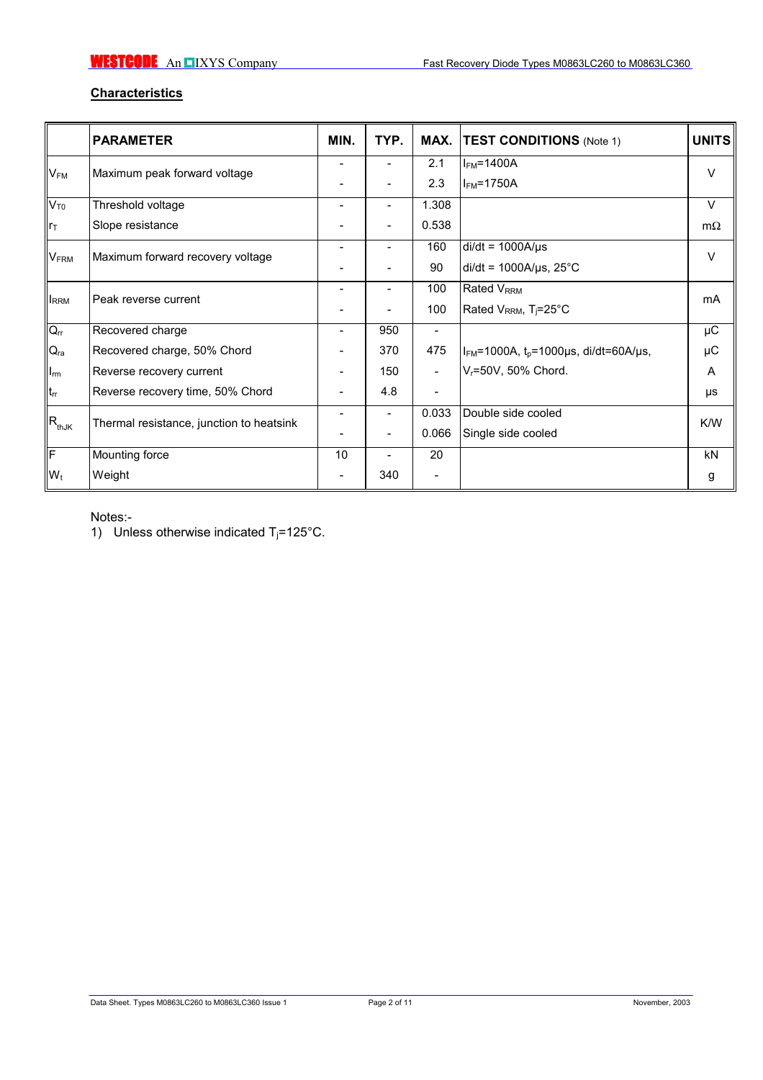# **Characteristics**

|                                               | <b>PARAMETER</b>                         | MIN.                     | TYP.                     | MAX.                     | <b>TEST CONDITIONS (Note 1)</b>               | <b>UNITS</b> |  |
|-----------------------------------------------|------------------------------------------|--------------------------|--------------------------|--------------------------|-----------------------------------------------|--------------|--|
| $V_{FM}$                                      | Maximum peak forward voltage             | $\overline{\phantom{0}}$ | ۰                        | 2.1                      | $IFM=1400A$                                   | $\vee$       |  |
|                                               |                                          |                          |                          | 2.3                      | $I_{FM}$ =1750A                               |              |  |
| $V_{T0}$                                      | Threshold voltage                        |                          |                          | 1.308                    |                                               | $\vee$       |  |
| llr⊤                                          | Slope resistance                         |                          |                          | 0.538                    |                                               | $m\Omega$    |  |
| <b>VFRM</b>                                   |                                          |                          | ٠                        | 160                      | $di/dt = 1000A/\mu s$                         | V            |  |
|                                               | Maximum forward recovery voltage         |                          |                          | 90                       | $di/dt = 1000A/\mu s$ , 25°C                  |              |  |
|                                               |                                          |                          |                          | 100                      | Rated V <sub>RRM</sub>                        | mA           |  |
| <b>IRRM</b>                                   | Peak reverse current                     |                          |                          | 100                      | Rated V <sub>RRM</sub> , T <sub>j</sub> =25°C |              |  |
| $Q_{rr}$                                      | Recovered charge                         | -                        | 950                      | $\overline{\phantom{a}}$ |                                               | $\mu$ C      |  |
| $Q_{ra}$                                      | Recovered charge, 50% Chord              |                          | 370                      | 475                      | $I_{FM}$ =1000A, $t_0$ =1000µs, di/dt=60A/µs, | μC           |  |
| $\mathsf{I}_{\mathsf{rm}}$                    | Reverse recovery current                 |                          | 150                      | $\overline{\phantom{a}}$ | V <sub>r</sub> =50V, 50% Chord.               | A            |  |
| $t_{rr}$                                      | Reverse recovery time, 50% Chord         | $\overline{\phantom{0}}$ | 4.8                      | $\overline{\phantom{a}}$ |                                               | μs           |  |
| $\ensuremath{\mathsf{IR}_\text{thJK}}\xspace$ |                                          |                          | ٠                        | 0.033                    | Double side cooled                            | K/W          |  |
|                                               | Thermal resistance, junction to heatsink |                          |                          | 0.066                    | Single side cooled                            |              |  |
| IF                                            | Mounting force                           | 10                       | $\overline{\phantom{a}}$ | 20                       |                                               | <b>kN</b>    |  |
| $W_t$                                         | Weight                                   |                          | 340                      | -                        |                                               | g            |  |

Notes:-

1) Unless otherwise indicated  $T_j = 125^{\circ}$ C.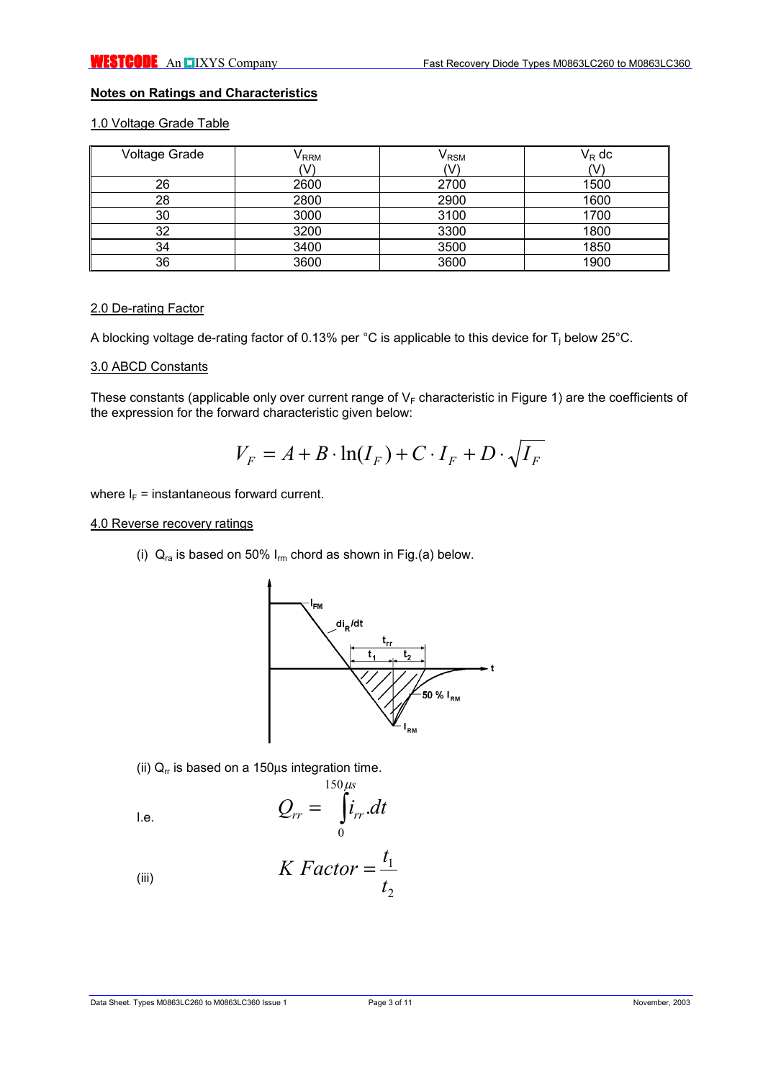# **Notes on Ratings and Characteristics**

## 1.0 Voltage Grade Table

| <b>Voltage Grade</b> | $\mathsf{V}_{\mathsf{RRM}}$ | $\mathsf{V}_{\mathsf{RSM}}$ | $V_R$ dc |
|----------------------|-----------------------------|-----------------------------|----------|
|                      | V                           |                             |          |
| 26                   | 2600                        | 2700                        | 1500     |
| 28                   | 2800                        | 2900                        | 1600     |
| 30                   | 3000                        | 3100                        | 1700     |
| 32                   | 3200                        | 3300                        | 1800     |
| 34                   | 3400                        | 3500                        | 1850     |
| 36                   | 3600                        | 3600                        | 1900     |

#### 2.0 De-rating Factor

A blocking voltage de-rating factor of 0.13% per °C is applicable to this device for T<sub>j</sub> below 25°C.

#### 3.0 ABCD Constants

These constants (applicable only over current range of  $V_F$  characteristic in Figure 1) are the coefficients of the expression for the forward characteristic given below:

$$
V_F = A + B \cdot \ln(I_F) + C \cdot I_F + D \cdot \sqrt{I_F}
$$

where  $I_F$  = instantaneous forward current.

#### 4.0 Reverse recovery ratings

(i)  $Q_{ra}$  is based on 50%  $I_{rm}$  chord as shown in Fig.(a) below.



(ii)  $Q_r$  is based on a 150 $\mu$ s integration time.

$$
Q_{rr} = \int_{0}^{150 \mu s} i_{rr} dt
$$

(iii) 
$$
K \; Factor = \frac{t_1}{t_2}
$$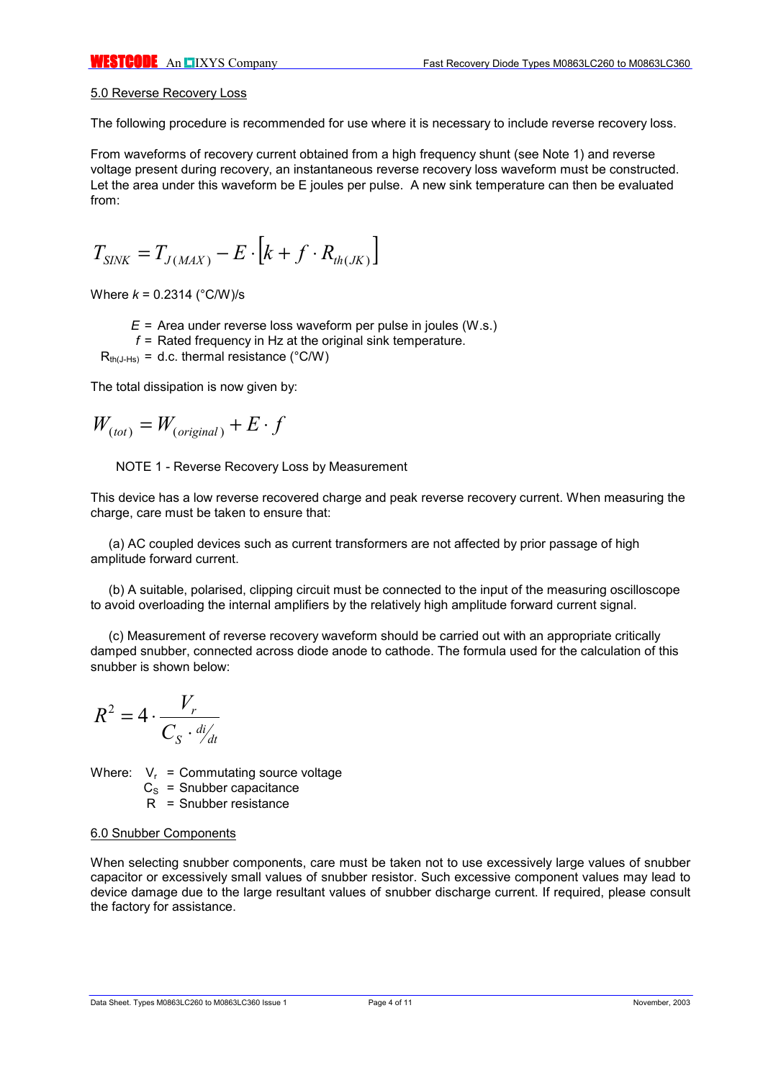#### 5.0 Reverse Recovery Loss

The following procedure is recommended for use where it is necessary to include reverse recovery loss.

From waveforms of recovery current obtained from a high frequency shunt (see Note 1) and reverse voltage present during recovery, an instantaneous reverse recovery loss waveform must be constructed. Let the area under this waveform be E joules per pulse. A new sink temperature can then be evaluated from:

$$
T_{\text{SINK}} = T_{J(\text{MAX})} - E \cdot \left[ k + f \cdot R_{\text{th}(JK)} \right]
$$

Where *k* = 0.2314 (°C/W)/s

- *E* = Area under reverse loss waveform per pulse in joules (W.s.)
- *f* = Rated frequency in Hz at the original sink temperature.

 $R_{th(J-Hs)} = d.c.$  thermal resistance (°C/W)

The total dissipation is now given by:

$$
W_{(tot)} = W_{(original)} + E \cdot f
$$

NOTE 1 - Reverse Recovery Loss by Measurement

This device has a low reverse recovered charge and peak reverse recovery current. When measuring the charge, care must be taken to ensure that:

(a) AC coupled devices such as current transformers are not affected by prior passage of high amplitude forward current.

(b) A suitable, polarised, clipping circuit must be connected to the input of the measuring oscilloscope to avoid overloading the internal amplifiers by the relatively high amplitude forward current signal.

(c) Measurement of reverse recovery waveform should be carried out with an appropriate critically damped snubber, connected across diode anode to cathode. The formula used for the calculation of this snubber is shown below:

$$
R^2 = 4 \cdot \frac{V_r}{C_S \cdot \frac{di}{dt}}
$$

Where:  $V_r$  = Commutating source voltage

 $C<sub>s</sub>$  = Snubber capacitance

R = Snubber resistance

#### 6.0 Snubber Components

When selecting snubber components, care must be taken not to use excessively large values of snubber capacitor or excessively small values of snubber resistor. Such excessive component values may lead to device damage due to the large resultant values of snubber discharge current. If required, please consult the factory for assistance.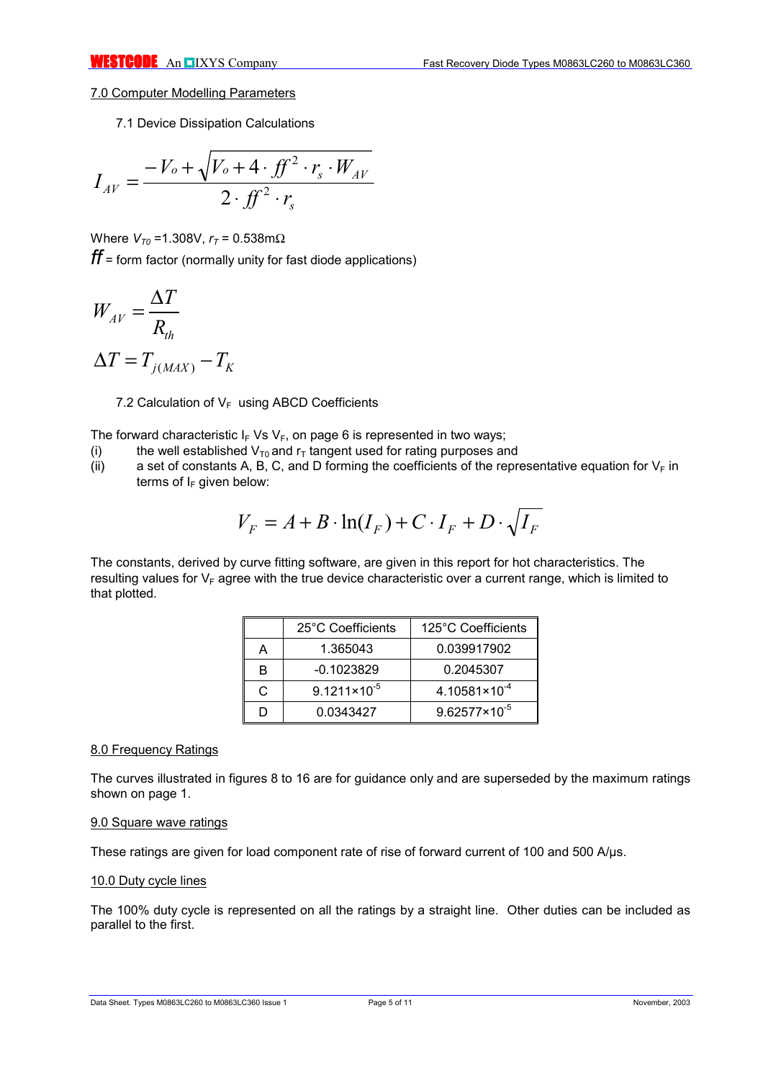## 7.0 Computer Modelling Parameters

7.1 Device Dissipation Calculations

$$
I_{AV} = \frac{-V_o + \sqrt{V_o + 4 \cdot f f^2 \cdot r_s \cdot W_{AV}}}{2 \cdot f f^2 \cdot r_s}
$$

Where  $V_{T0}$  = 1.308V,  $r_T$  = 0.538mΩ *ff* = form factor (normally unity for fast diode applications)

$$
W_{AV} = \frac{\Delta T}{R_{th}}
$$

$$
\Delta T = T_{j(MAX)} - T_K
$$

7.2 Calculation of  $V_F$  using ABCD Coefficients

The forward characteristic  $I_F V_S V_F$ , on page 6 is represented in two ways;

- (i) the well established  $V_{T0}$  and  $r_T$  tangent used for rating purposes and (ii) a set of constants A, B, C, and D forming the coefficients of the repr
- a set of constants A, B, C, and D forming the coefficients of the representative equation for  $V_F$  in terms of  $I_F$  given below:

$$
V_F = A + B \cdot \ln(I_F) + C \cdot I_F + D \cdot \sqrt{I_F}
$$

The constants, derived by curve fitting software, are given in this report for hot characteristics. The resulting values for  $V_F$  agree with the true device characteristic over a current range, which is limited to that plotted.

|    | 25°C Coefficients       | 125°C Coefficients       |
|----|-------------------------|--------------------------|
|    | 1.365043                | 0.039917902              |
| R  | $-0.1023829$            | 0.2045307                |
| C. | $9.1211 \times 10^{-5}$ | $4.10581 \times 10^{-4}$ |
|    | 0.0343427               | $9.62577 \times 10^{-5}$ |

## 8.0 Frequency Ratings

The curves illustrated in figures 8 to 16 are for guidance only and are superseded by the maximum ratings shown on page 1.

#### 9.0 Square wave ratings

These ratings are given for load component rate of rise of forward current of 100 and 500 A/µs.

## 10.0 Duty cycle lines

The 100% duty cycle is represented on all the ratings by a straight line. Other duties can be included as parallel to the first.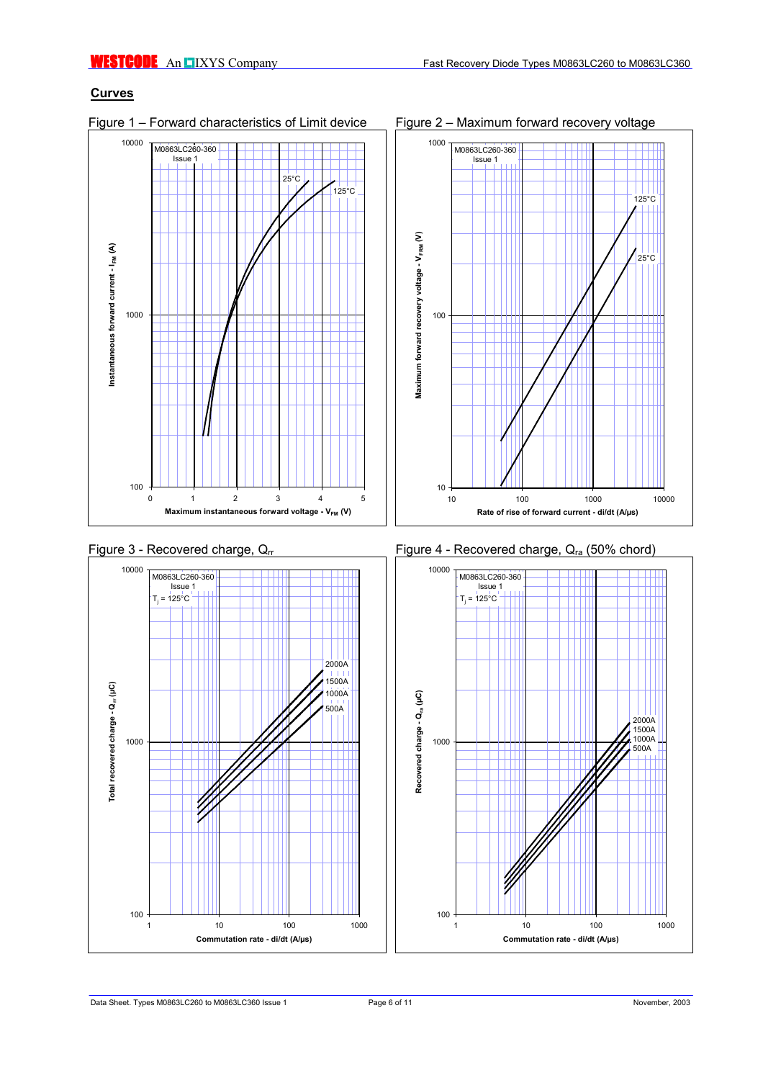# **Curves**

10000 M0863LC260-360 Issue 1  $25^{\circ}$ C  $125^{\circ}$ C Instantaneous forward current - I<sub>FM</sub> (A) **Instantaneous forward current - I FM (A)** 1000 100 012345 **Maximum instantaneous forward voltage - V<sub>FM</sub> (V)** 











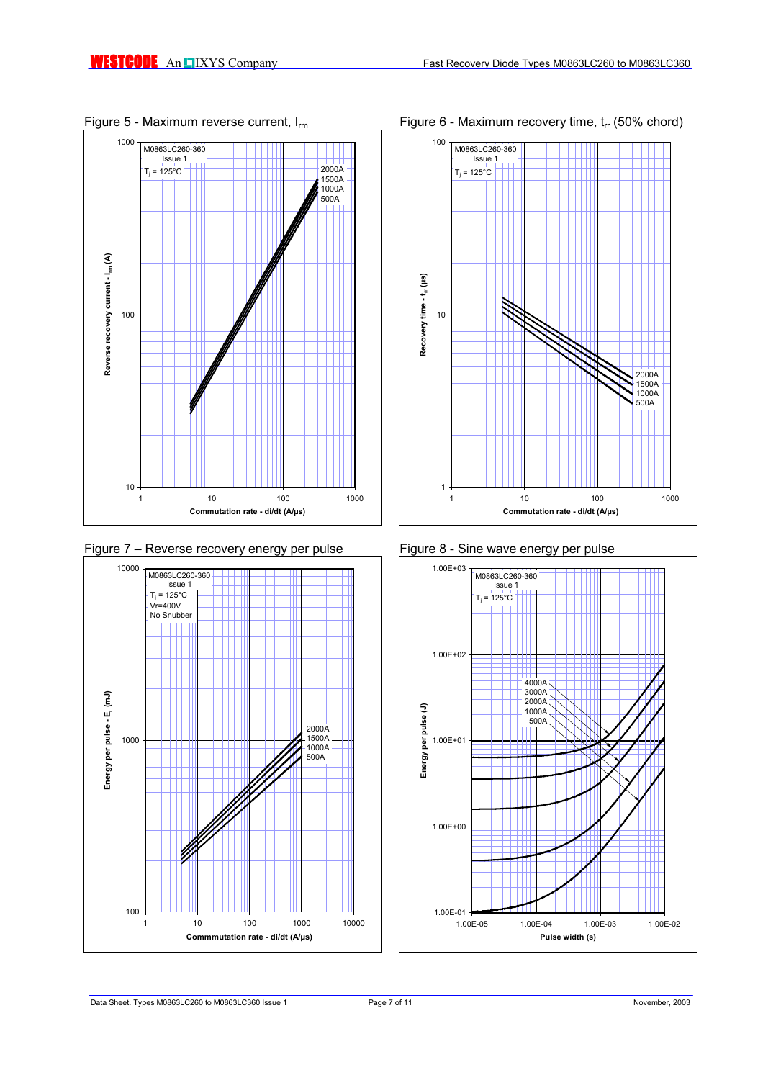





# Figure 5 - Maximum reverse current,  $I_{rm}$  Figure 6 - Maximum recovery time,  $t_{rr}$  (50% chord)



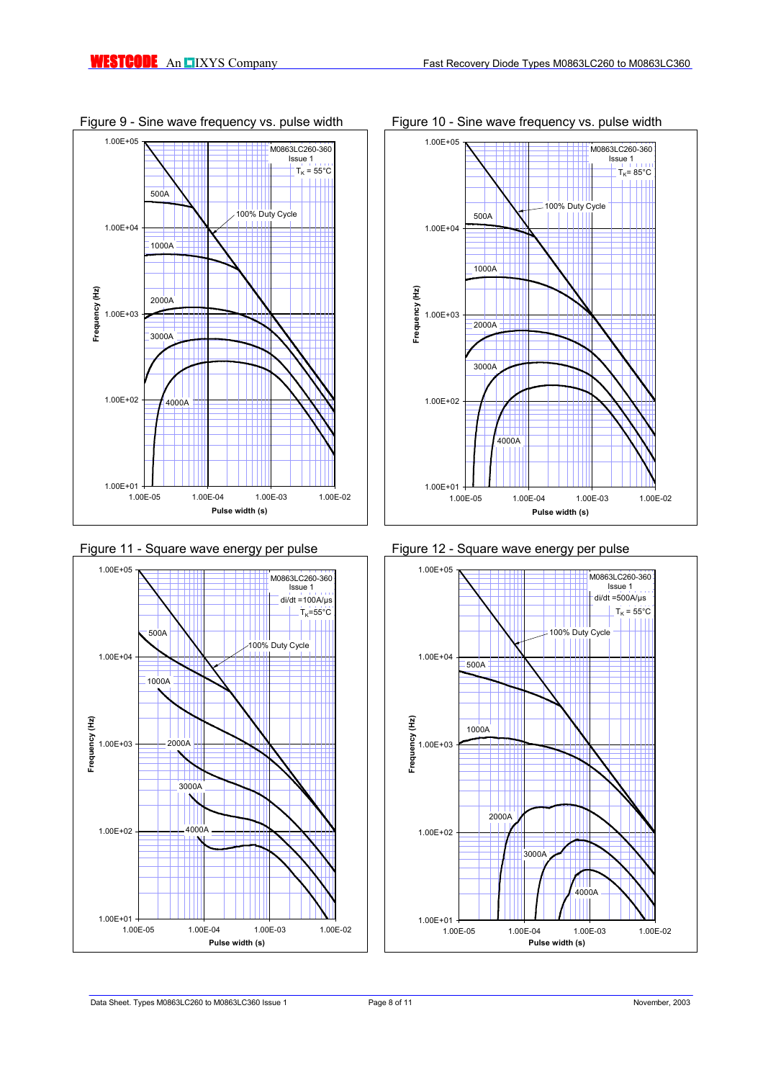









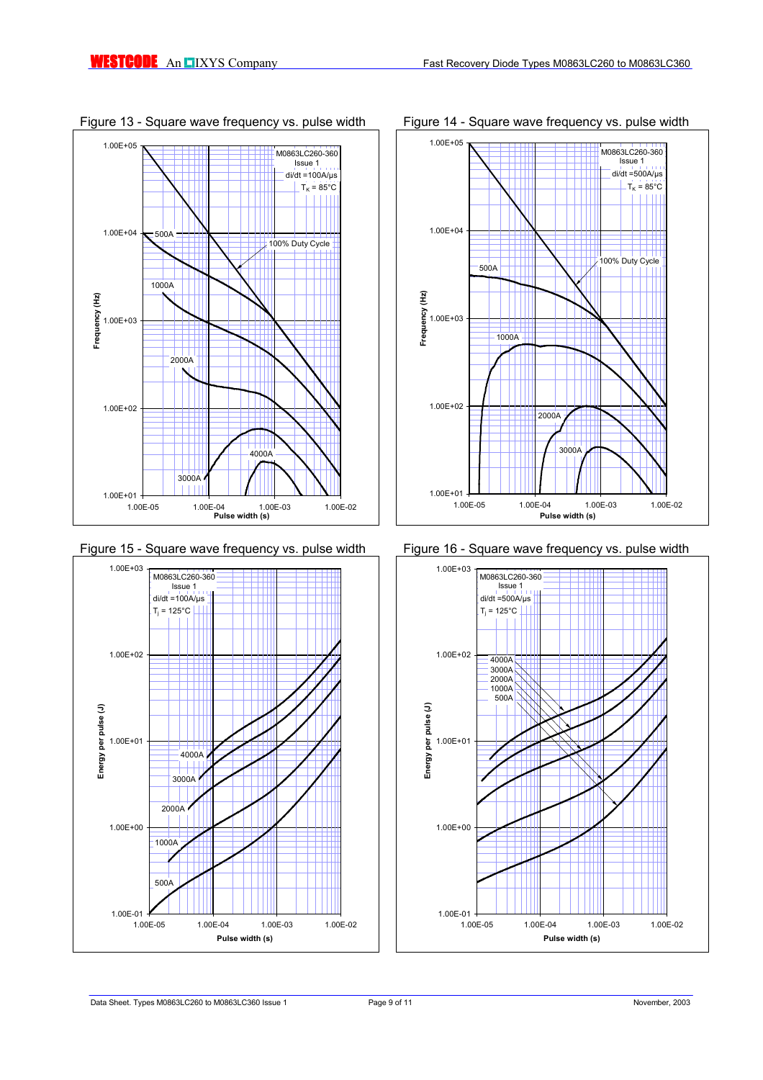









## Figure 13 - Square wave frequency vs. pulse width Figure 14 - Square wave frequency vs. pulse width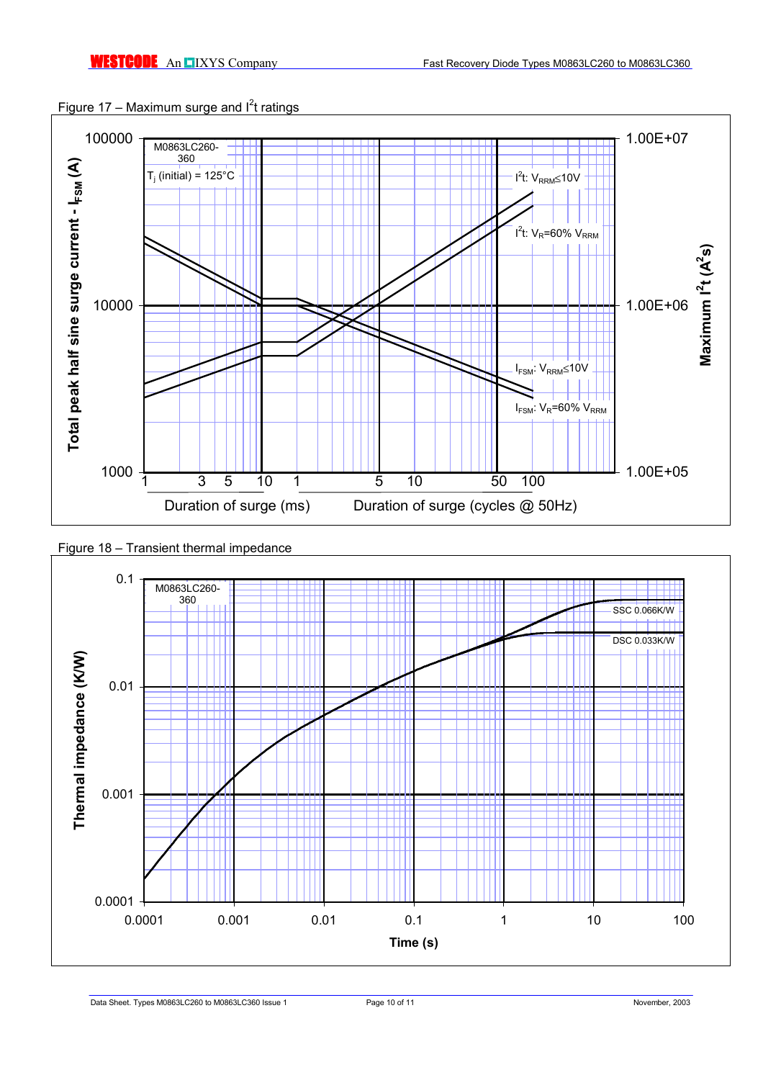



# Figure 18 – Transient thermal impedance